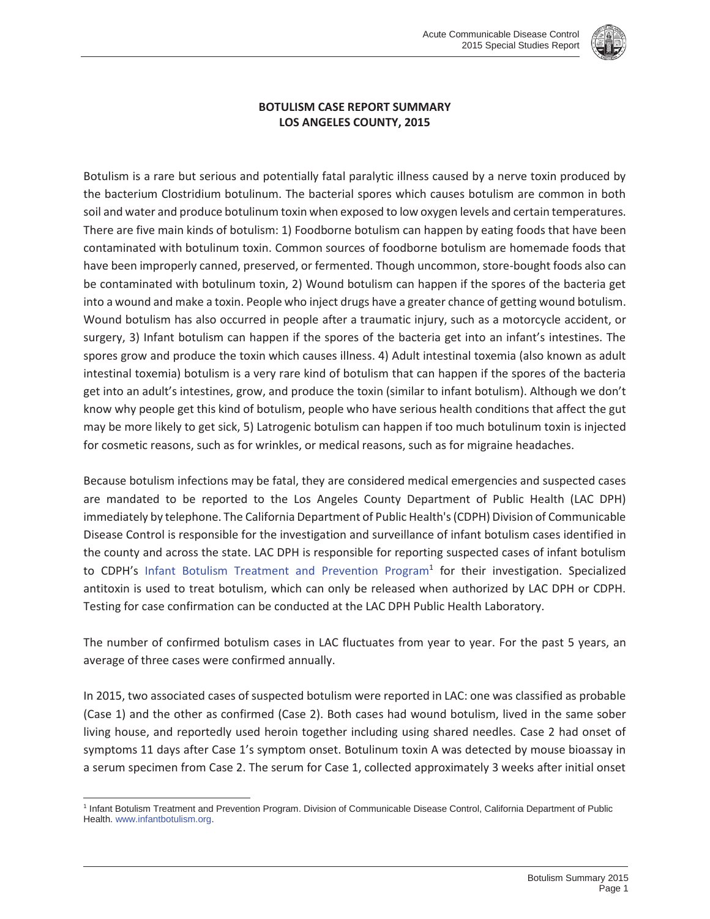

## **BOTULISM CASE REPORT SUMMARY LOS ANGELES COUNTY, 2015**

Botulism is a rare but serious and potentially fatal paralytic illness caused by a nerve toxin produced by the bacterium Clostridium botulinum. The bacterial spores which causes botulism are common in both soil and water and produce botulinum toxin when exposed to low oxygen levels and certain temperatures. There are five main kinds of botulism: 1) Foodborne botulism can happen by eating foods that have been contaminated with botulinum toxin. Common sources of foodborne botulism are homemade foods that have been improperly canned, preserved, or fermented. Though uncommon, store-bought foods also can be contaminated with botulinum toxin, 2) Wound botulism can happen if the spores of the bacteria get into a wound and make a toxin. People who inject drugs have a greater chance of getting wound botulism. Wound botulism has also occurred in people after a traumatic injury, such as a motorcycle accident, or surgery, 3) Infant botulism can happen if the spores of the bacteria get into an infant's intestines. The spores grow and produce the toxin which causes illness. 4) Adult intestinal toxemia (also known as adult intestinal toxemia) botulism is a very rare kind of botulism that can happen if the spores of the bacteria get into an adult's intestines, grow, and produce the toxin (similar to infant botulism). Although we don't know why people get this kind of botulism, people who have serious health conditions that affect the gut may be more likely to get sick, 5) Latrogenic botulism can happen if too much botulinum toxin is injected for cosmetic reasons, such as for wrinkles, or medical reasons, such as for migraine headaches.

Because botulism infections may be fatal, they are considered medical emergencies and suspected cases are mandated to be reported to the Los Angeles County Department of Public Health (LAC DPH) immediately by telephone. The California Department of Public Health's (CDPH) Division of Communicable Disease Control is responsible for the investigation and surveillance of infant botulism cases identified in the county and across the state. LAC DPH is responsible for reporting suspected cases of infant botulism to CDPH's Infant Botulism Treatment and Prevention Program<sup>1</sup> for their investigation. Specialized antitoxin is used to treat botulism, which can only be released when authorized by LAC DPH or CDPH. Testing for case confirmation can be conducted at the LAC DPH Public Health Laboratory.

The number of confirmed botulism cases in LAC fluctuates from year to year. For the past 5 years, an average of three cases were confirmed annually.

In 2015, two associated cases of suspected botulism were reported in LAC: one was classified as probable (Case 1) and the other as confirmed (Case 2). Both cases had wound botulism, lived in the same sober living house, and reportedly used heroin together including using shared needles. Case 2 had onset of symptoms 11 days after Case 1's symptom onset. Botulinum toxin A was detected by mouse bioassay in a serum specimen from Case 2. The serum for Case 1, collected approximately 3 weeks after initial onset

 $\overline{a}$ <sup>1</sup> Infant Botulism Treatment and Prevention Program. Division of Communicable Disease Control, California Department of Public Health. www.infantbotulism.org.